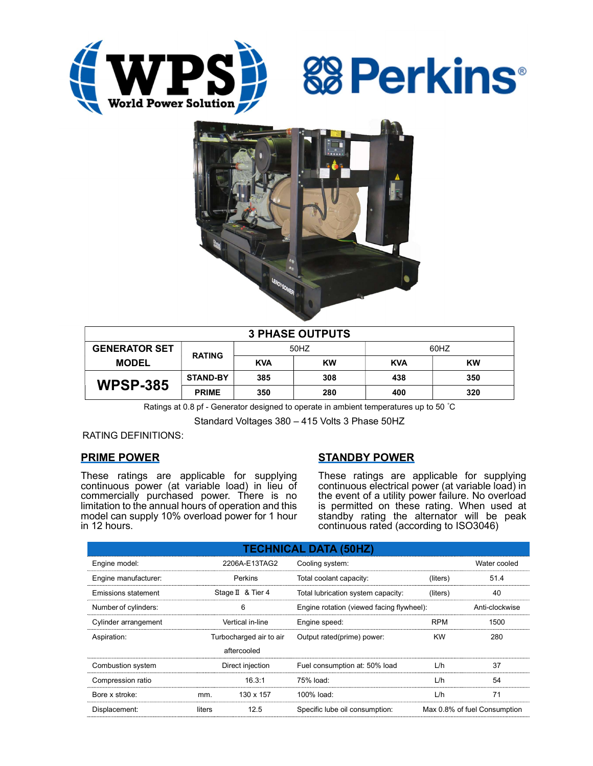





| <b>3 PHASE OUTPUTS</b> |                 |            |           |            |     |  |  |
|------------------------|-----------------|------------|-----------|------------|-----|--|--|
| <b>GENERATOR SET</b>   | <b>RATING</b>   | 50HZ       |           | 60HZ       |     |  |  |
| <b>MODEL</b>           |                 | <b>KVA</b> | <b>KW</b> | <b>KVA</b> | KW  |  |  |
| <b>WPSP-385</b>        | <b>STAND-BY</b> | 385        | 308       | 438        | 350 |  |  |
|                        | <b>PRIME</b>    | 350        | 280       | 400        | 320 |  |  |

Ratings at 0.8 pf - Generator designed to operate in ambient temperatures up to 50 °C

Standard Voltages 380 – 415 Volts 3 Phase 50HZ

RATING DEFINITIONS:

# PRIME POWER

These ratings are applicable for supplying continuous power (at variable load) in lieu of commercially purchased power. There is no limitation to the annual hours of operation and this model can supply 10% overload power for 1 hour in 12 hours.

# STANDBY POWER

These ratings are applicable for supplying continuous electrical power (at variable load) in the event of a utility power failure. No overload is permitted on these rating. When used at standby rating the alternator will be peak continuous rated (according to ISO3046)

| <b>TECHNICAL DATA (50HZ)</b> |                         |             |                                           |                              |                |  |  |
|------------------------------|-------------------------|-------------|-------------------------------------------|------------------------------|----------------|--|--|
| Engine model:                | 2206A-E13TAG2           |             | Cooling system:                           | Water cooled                 |                |  |  |
| Engine manufacturer:         | Perkins                 |             | Total coolant capacity:                   | (liters)                     | 51.4           |  |  |
| <b>Emissions statement</b>   | Stage II & Tier 4       |             | Total lubrication system capacity:        | (liters)                     | 40             |  |  |
| Number of cylinders:         | 6                       |             | Engine rotation (viewed facing flywheel): |                              | Anti-clockwise |  |  |
| Cylinder arrangement         | Vertical in-line        |             | Engine speed:                             | <b>RPM</b>                   | 1500           |  |  |
| Aspiration:                  | Turbocharged air to air |             | Output rated(prime) power:                | <b>KW</b>                    | 280            |  |  |
|                              |                         | aftercooled |                                           |                              |                |  |  |
| Combustion system            | Direct injection        |             | Fuel consumption at: 50% load             | L/h                          | 37             |  |  |
| Compression ratio            |                         | 16.3:1      | 75% load:                                 | L/h                          | 54             |  |  |
| Bore x stroke:               | mm.                     | 130 x 157   | 100% load:                                | L/h                          | 71             |  |  |
| Displacement:                | 12.5<br>liters          |             | Specific lube oil consumption:            | Max 0.8% of fuel Consumption |                |  |  |